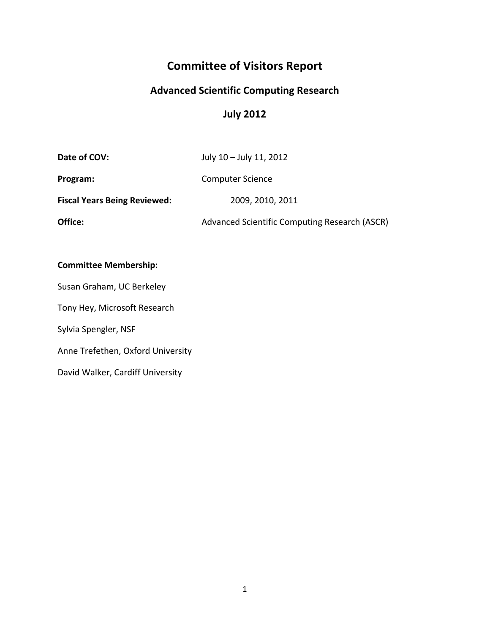# **Committee of Visitors Report**

## **Advanced Scientific Computing Research**

## **July 2012**

| Date of COV:                        | July 10 - July 11, 2012                       |
|-------------------------------------|-----------------------------------------------|
| Program:                            | <b>Computer Science</b>                       |
| <b>Fiscal Years Being Reviewed:</b> | 2009, 2010, 2011                              |
| Office:                             | Advanced Scientific Computing Research (ASCR) |

#### **Committee Membership:**

Susan Graham, UC Berkeley Tony Hey, Microsoft Research Sylvia Spengler, NSF Anne Trefethen, Oxford University David Walker, Cardiff University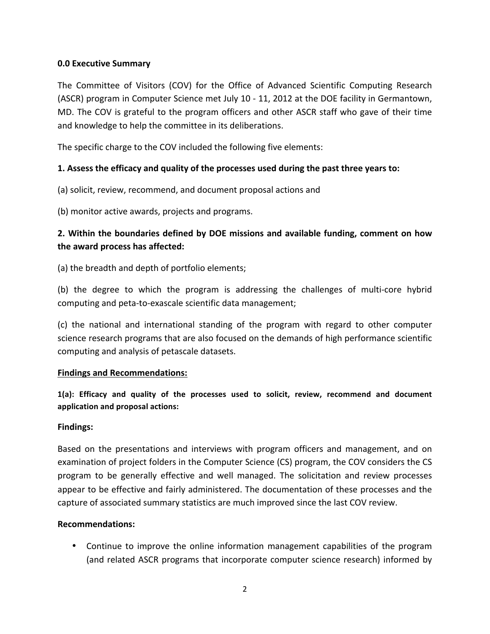#### **0.0 Executive Summary**

The Committee of Visitors (COV) for the Office of Advanced Scientific Computing Research (ASCR) program in Computer Science met July 10 - 11, 2012 at the DOE facility in Germantown, MD. The COV is grateful to the program officers and other ASCR staff who gave of their time and knowledge to help the committee in its deliberations.

The specific charge to the COV included the following five elements:

#### **1.** Assess the efficacy and quality of the processes used during the past three years to:

(a) solicit, review, recommend, and document proposal actions and

(b) monitor active awards, projects and programs.

### 2. Within the boundaries defined by DOE missions and available funding, comment on how the award process has affected:

(a) the breadth and depth of portfolio elements;

(b) the degree to which the program is addressing the challenges of multi-core hybrid computing and peta-to-exascale scientific data management;

(c) the national and international standing of the program with regard to other computer science research programs that are also focused on the demands of high performance scientific computing and analysis of petascale datasets.

#### **Findings and Recommendations:**

1(a): Efficacy and quality of the processes used to solicit, review, recommend and document application and proposal actions:

#### **Findings:**

Based on the presentations and interviews with program officers and management, and on examination of project folders in the Computer Science (CS) program, the COV considers the CS program to be generally effective and well managed. The solicitation and review processes appear to be effective and fairly administered. The documentation of these processes and the capture of associated summary statistics are much improved since the last COV review.

#### **Recommendations:**

• Continue to improve the online information management capabilities of the program (and related ASCR programs that incorporate computer science research) informed by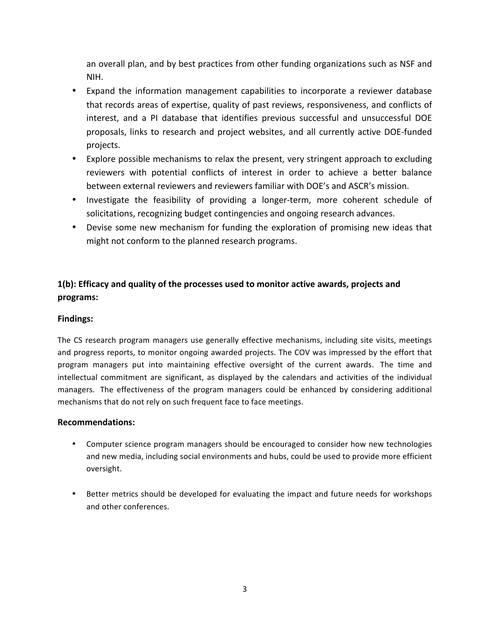an overall plan, and by best practices from other funding organizations such as NSF and NIH. 

- Expand the information management capabilities to incorporate a reviewer database that records areas of expertise, quality of past reviews, responsiveness, and conflicts of interest, and a PI database that identifies previous successful and unsuccessful DOE proposals, links to research and project websites, and all currently active DOE-funded projects.
- Explore possible mechanisms to relax the present, very stringent approach to excluding reviewers with potential conflicts of interest in order to achieve a better balance between external reviewers and reviewers familiar with DOE's and ASCR's mission.
- Investigate the feasibility of providing a longer-term, more coherent schedule of solicitations, recognizing budget contingencies and ongoing research advances.
- Devise some new mechanism for funding the exploration of promising new ideas that might not conform to the planned research programs.

## 1(b): Efficacy and quality of the processes used to monitor active awards, projects and **programs:**

#### **Findings:**

The CS research program managers use generally effective mechanisms, including site visits, meetings and progress reports, to monitor ongoing awarded projects. The COV was impressed by the effort that program managers put into maintaining effective oversight of the current awards. The time and intellectual commitment are significant, as displayed by the calendars and activities of the individual managers. The effectiveness of the program managers could be enhanced by considering additional mechanisms that do not rely on such frequent face to face meetings.

- Computer science program managers should be encouraged to consider how new technologies and new media, including social environments and hubs, could be used to provide more efficient oversight.
- Better metrics should be developed for evaluating the impact and future needs for workshops and other conferences.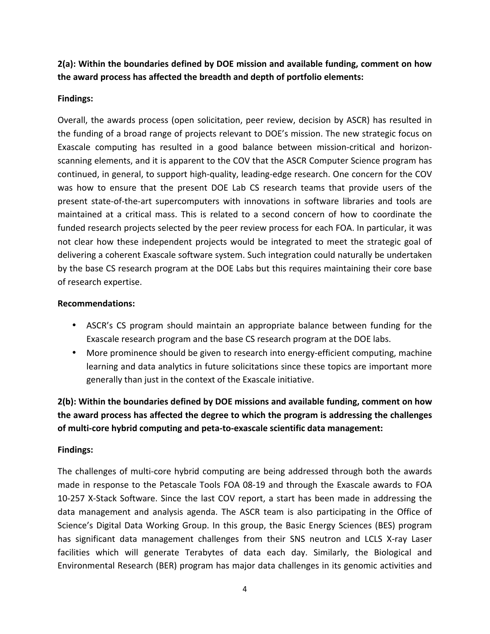**2(a): Within the boundaries defined by DOE mission and available funding, comment on how** the award process has affected the breadth and depth of portfolio elements:

### **Findings:**

Overall, the awards process (open solicitation, peer review, decision by ASCR) has resulted in the funding of a broad range of projects relevant to DOE's mission. The new strategic focus on Exascale computing has resulted in a good balance between mission-critical and horizonscanning elements, and it is apparent to the COV that the ASCR Computer Science program has continued, in general, to support high-quality, leading-edge research. One concern for the COV was how to ensure that the present DOE Lab CS research teams that provide users of the present state-of-the-art supercomputers with innovations in software libraries and tools are maintained at a critical mass. This is related to a second concern of how to coordinate the funded research projects selected by the peer review process for each FOA. In particular, it was not clear how these independent projects would be integrated to meet the strategic goal of delivering a coherent Exascale software system. Such integration could naturally be undertaken by the base CS research program at the DOE Labs but this requires maintaining their core base of research expertise.

#### **Recommendations:**

- ASCR's CS program should maintain an appropriate balance between funding for the Exascale research program and the base CS research program at the DOE labs.
- More prominence should be given to research into energy-efficient computing, machine learning and data analytics in future solicitations since these topics are important more generally than just in the context of the Exascale initiative.

**2(b):** Within the boundaries defined by DOE missions and available funding, comment on how the award process has affected the degree to which the program is addressing the challenges of multi-core hybrid computing and peta-to-exascale scientific data management:

### **Findings:**

The challenges of multi-core hybrid computing are being addressed through both the awards made in response to the Petascale Tools FOA 08-19 and through the Exascale awards to FOA 10-257 X-Stack Software. Since the last COV report, a start has been made in addressing the data management and analysis agenda. The ASCR team is also participating in the Office of Science's Digital Data Working Group. In this group, the Basic Energy Sciences (BES) program has significant data management challenges from their SNS neutron and LCLS X-ray Laser facilities which will generate Terabytes of data each day. Similarly, the Biological and Environmental Research (BER) program has major data challenges in its genomic activities and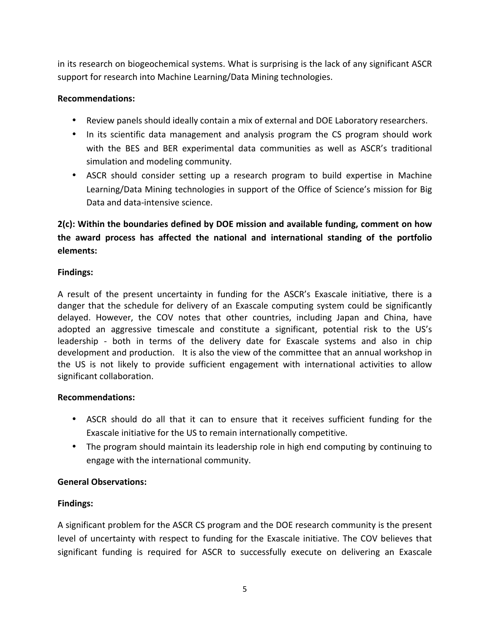in its research on biogeochemical systems. What is surprising is the lack of any significant ASCR support for research into Machine Learning/Data Mining technologies.

#### **Recommendations:**

- Review panels should ideally contain a mix of external and DOE Laboratory researchers.
- In its scientific data management and analysis program the CS program should work with the BES and BER experimental data communities as well as ASCR's traditional simulation and modeling community.
- ASCR should consider setting up a research program to build expertise in Machine Learning/Data Mining technologies in support of the Office of Science's mission for Big Data and data-intensive science.

## **2(c):** Within the boundaries defined by DOE mission and available funding, comment on how the award process has affected the national and international standing of the portfolio **elements:**

### **Findings:**

A result of the present uncertainty in funding for the ASCR's Exascale initiative, there is a danger that the schedule for delivery of an Exascale computing system could be significantly delayed. However, the COV notes that other countries, including Japan and China, have adopted an aggressive timescale and constitute a significant, potential risk to the US's leadership - both in terms of the delivery date for Exascale systems and also in chip development and production. It is also the view of the committee that an annual workshop in the US is not likely to provide sufficient engagement with international activities to allow significant collaboration.

#### **Recommendations:**

- ASCR should do all that it can to ensure that it receives sufficient funding for the Exascale initiative for the US to remain internationally competitive.
- The program should maintain its leadership role in high end computing by continuing to engage with the international community.

### **General Observations:**

### **Findings:**

A significant problem for the ASCR CS program and the DOE research community is the present level of uncertainty with respect to funding for the Exascale initiative. The COV believes that significant funding is required for ASCR to successfully execute on delivering an Exascale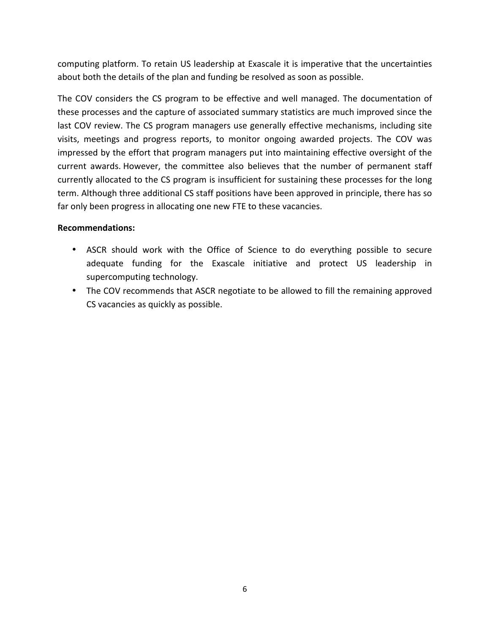computing platform. To retain US leadership at Exascale it is imperative that the uncertainties about both the details of the plan and funding be resolved as soon as possible.

The COV considers the CS program to be effective and well managed. The documentation of these processes and the capture of associated summary statistics are much improved since the last COV review. The CS program managers use generally effective mechanisms, including site visits, meetings and progress reports, to monitor ongoing awarded projects. The COV was impressed by the effort that program managers put into maintaining effective oversight of the current awards. However, the committee also believes that the number of permanent staff currently allocated to the CS program is insufficient for sustaining these processes for the long term. Although three additional CS staff positions have been approved in principle, there has so far only been progress in allocating one new FTE to these vacancies.

- ASCR should work with the Office of Science to do everything possible to secure adequate funding for the Exascale initiative and protect US leadership in supercomputing technology.
- The COV recommends that ASCR negotiate to be allowed to fill the remaining approved CS vacancies as quickly as possible.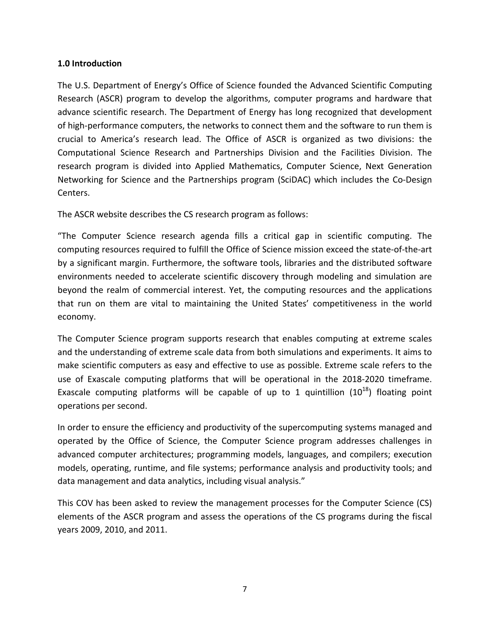#### **1.0 Introduction**

The U.S. Department of Energy's Office of Science founded the Advanced Scientific Computing Research (ASCR) program to develop the algorithms, computer programs and hardware that advance scientific research. The Department of Energy has long recognized that development of high-performance computers, the networks to connect them and the software to run them is crucial to America's research lead. The Office of ASCR is organized as two divisions: the Computational Science Research and Partnerships Division and the Facilities Division. The research program is divided into Applied Mathematics, Computer Science, Next Generation Networking for Science and the Partnerships program (SciDAC) which includes the Co-Design Centers.

The ASCR website describes the CS research program as follows:

"The Computer Science research agenda fills a critical gap in scientific computing. The computing resources required to fulfill the Office of Science mission exceed the state-of-the-art by a significant margin. Furthermore, the software tools, libraries and the distributed software environments needed to accelerate scientific discovery through modeling and simulation are beyond the realm of commercial interest. Yet, the computing resources and the applications that run on them are vital to maintaining the United States' competitiveness in the world economy.

The Computer Science program supports research that enables computing at extreme scales and the understanding of extreme scale data from both simulations and experiments. It aims to make scientific computers as easy and effective to use as possible. Extreme scale refers to the use of Exascale computing platforms that will be operational in the 2018-2020 timeframe. Exascale computing platforms will be capable of up to 1 quintillion  $(10^{18})$  floating point operations per second.

In order to ensure the efficiency and productivity of the supercomputing systems managed and operated by the Office of Science, the Computer Science program addresses challenges in advanced computer architectures; programming models, languages, and compilers; execution models, operating, runtime, and file systems; performance analysis and productivity tools; and data management and data analytics, including visual analysis."

This COV has been asked to review the management processes for the Computer Science (CS) elements of the ASCR program and assess the operations of the CS programs during the fiscal years 2009, 2010, and 2011.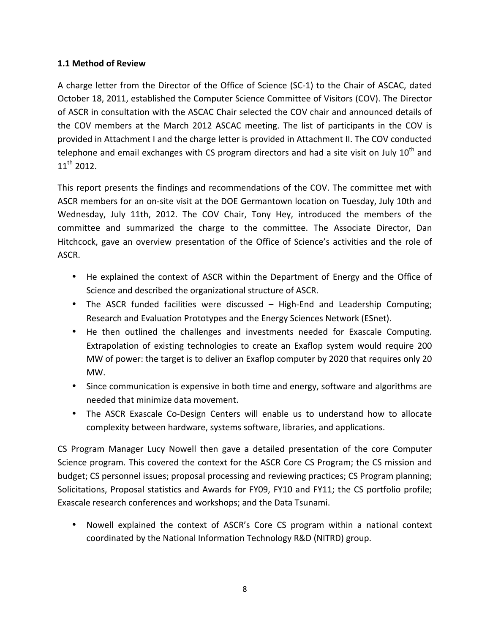#### **1.1 Method of Review**

A charge letter from the Director of the Office of Science (SC-1) to the Chair of ASCAC, dated October 18, 2011, established the Computer Science Committee of Visitors (COV). The Director of ASCR in consultation with the ASCAC Chair selected the COV chair and announced details of the COV members at the March 2012 ASCAC meeting. The list of participants in the COV is provided in Attachment I and the charge letter is provided in Attachment II. The COV conducted telephone and email exchanges with CS program directors and had a site visit on July 10<sup>th</sup> and  $11^{th}$  2012.

This report presents the findings and recommendations of the COV. The committee met with ASCR members for an on-site visit at the DOE Germantown location on Tuesday, July 10th and Wednesday, July 11th, 2012. The COV Chair, Tony Hey, introduced the members of the committee and summarized the charge to the committee. The Associate Director, Dan Hitchcock, gave an overview presentation of the Office of Science's activities and the role of ASCR.

- He explained the context of ASCR within the Department of Energy and the Office of Science and described the organizational structure of ASCR.
- The ASCR funded facilities were discussed High-End and Leadership Computing; Research and Evaluation Prototypes and the Energy Sciences Network (ESnet).
- He then outlined the challenges and investments needed for Exascale Computing. Extrapolation of existing technologies to create an Exaflop system would require 200 MW of power: the target is to deliver an Exaflop computer by 2020 that requires only 20 MW.
- Since communication is expensive in both time and energy, software and algorithms are needed that minimize data movement.
- The ASCR Exascale Co-Design Centers will enable us to understand how to allocate complexity between hardware, systems software, libraries, and applications.

CS Program Manager Lucy Nowell then gave a detailed presentation of the core Computer Science program. This covered the context for the ASCR Core CS Program; the CS mission and budget; CS personnel issues; proposal processing and reviewing practices; CS Program planning; Solicitations, Proposal statistics and Awards for FY09, FY10 and FY11; the CS portfolio profile; Exascale research conferences and workshops; and the Data Tsunami.

• Nowell explained the context of ASCR's Core CS program within a national context coordinated by the National Information Technology R&D (NITRD) group.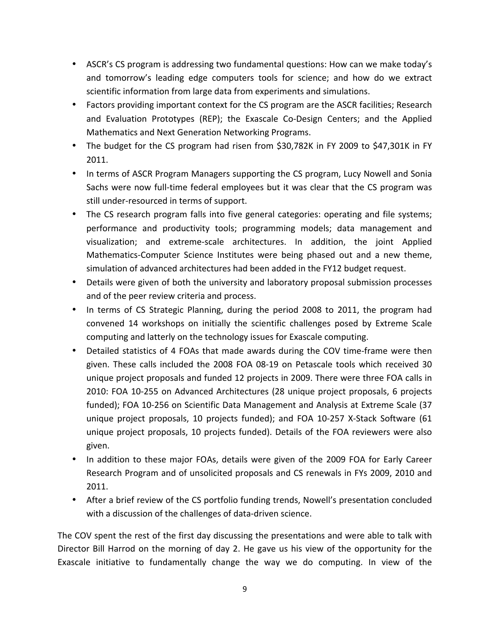- ASCR's CS program is addressing two fundamental questions: How can we make today's and tomorrow's leading edge computers tools for science; and how do we extract scientific information from large data from experiments and simulations.
- Factors providing important context for the CS program are the ASCR facilities; Research and Evaluation Prototypes (REP); the Exascale Co-Design Centers; and the Applied Mathematics and Next Generation Networking Programs.
- The budget for the CS program had risen from \$30,782K in FY 2009 to \$47,301K in FY 2011.
- In terms of ASCR Program Managers supporting the CS program, Lucy Nowell and Sonia Sachs were now full-time federal employees but it was clear that the CS program was still under-resourced in terms of support.
- The CS research program falls into five general categories: operating and file systems; performance and productivity tools; programming models; data management and visualization; and extreme-scale architectures. In addition, the joint Applied Mathematics-Computer Science Institutes were being phased out and a new theme, simulation of advanced architectures had been added in the FY12 budget request.
- Details were given of both the university and laboratory proposal submission processes and of the peer review criteria and process.
- In terms of CS Strategic Planning, during the period 2008 to 2011, the program had convened 14 workshops on initially the scientific challenges posed by Extreme Scale computing and latterly on the technology issues for Exascale computing.
- Detailed statistics of 4 FOAs that made awards during the COV time-frame were then given. These calls included the 2008 FOA 08-19 on Petascale tools which received 30 unique project proposals and funded 12 projects in 2009. There were three FOA calls in 2010: FOA 10-255 on Advanced Architectures (28 unique project proposals, 6 projects funded); FOA 10-256 on Scientific Data Management and Analysis at Extreme Scale (37 unique project proposals, 10 projects funded); and FOA 10-257 X-Stack Software (61 unique project proposals, 10 projects funded). Details of the FOA reviewers were also given.
- In addition to these major FOAs, details were given of the 2009 FOA for Early Career Research Program and of unsolicited proposals and CS renewals in FYs 2009, 2010 and 2011.
- After a brief review of the CS portfolio funding trends, Nowell's presentation concluded with a discussion of the challenges of data-driven science.

The COV spent the rest of the first day discussing the presentations and were able to talk with Director Bill Harrod on the morning of day 2. He gave us his view of the opportunity for the Exascale initiative to fundamentally change the way we do computing. In view of the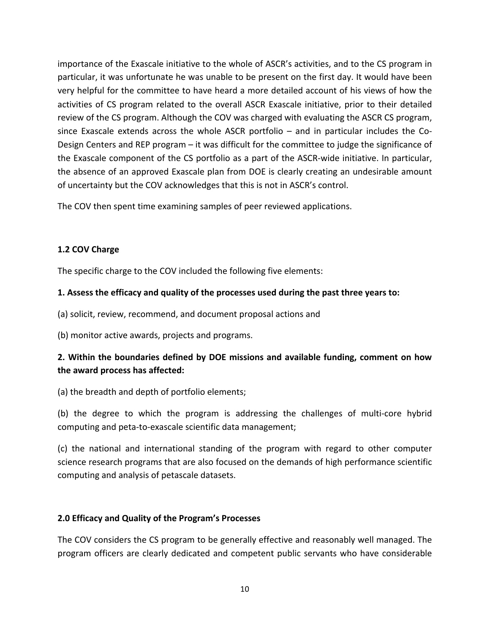importance of the Exascale initiative to the whole of ASCR's activities, and to the CS program in particular, it was unfortunate he was unable to be present on the first day. It would have been very helpful for the committee to have heard a more detailed account of his views of how the activities of CS program related to the overall ASCR Exascale initiative, prior to their detailed review of the CS program. Although the COV was charged with evaluating the ASCR CS program, since Exascale extends across the whole ASCR portfolio  $-$  and in particular includes the Co-Design Centers and REP program – it was difficult for the committee to judge the significance of the Exascale component of the CS portfolio as a part of the ASCR-wide initiative. In particular, the absence of an approved Exascale plan from DOE is clearly creating an undesirable amount of uncertainty but the COV acknowledges that this is not in ASCR's control.

The COV then spent time examining samples of peer reviewed applications.

### 1.2 COV Charge

The specific charge to the COV included the following five elements:

#### **1.** Assess the efficacy and quality of the processes used during the past three years to:

(a) solicit, review, recommend, and document proposal actions and

(b) monitor active awards, projects and programs.

### **2.** Within the boundaries defined by DOE missions and available funding, comment on how the award process has affected:

(a) the breadth and depth of portfolio elements;

(b) the degree to which the program is addressing the challenges of multi-core hybrid computing and peta-to-exascale scientific data management;

(c) the national and international standing of the program with regard to other computer science research programs that are also focused on the demands of high performance scientific computing and analysis of petascale datasets.

#### **2.0 Efficacy and Quality of the Program's Processes**

The COV considers the CS program to be generally effective and reasonably well managed. The program officers are clearly dedicated and competent public servants who have considerable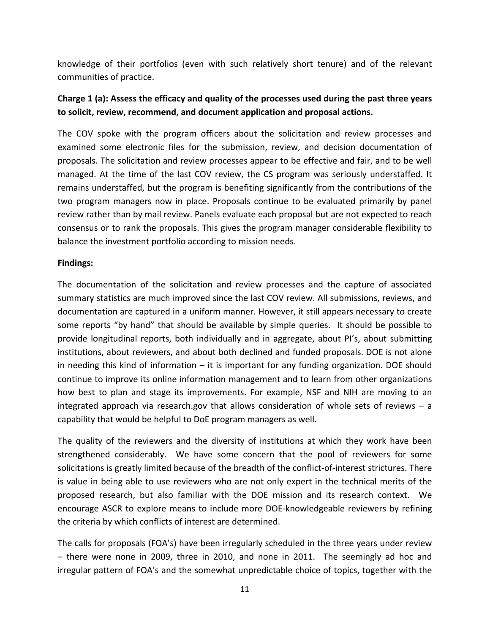knowledge of their portfolios (even with such relatively short tenure) and of the relevant communities of practice.

## **Charge 1** (a): Assess the efficacy and quality of the processes used during the past three years to solicit, review, recommend, and document application and proposal actions.

The COV spoke with the program officers about the solicitation and review processes and examined some electronic files for the submission, review, and decision documentation of proposals. The solicitation and review processes appear to be effective and fair, and to be well managed. At the time of the last COV review, the CS program was seriously understaffed. It remains understaffed, but the program is benefiting significantly from the contributions of the two program managers now in place. Proposals continue to be evaluated primarily by panel review rather than by mail review. Panels evaluate each proposal but are not expected to reach consensus or to rank the proposals. This gives the program manager considerable flexibility to balance the investment portfolio according to mission needs.

#### **Findings:**

The documentation of the solicitation and review processes and the capture of associated summary statistics are much improved since the last COV review. All submissions, reviews, and documentation are captured in a uniform manner. However, it still appears necessary to create some reports "by hand" that should be available by simple queries. It should be possible to provide longitudinal reports, both individually and in aggregate, about PI's, about submitting institutions, about reviewers, and about both declined and funded proposals. DOE is not alone in needing this kind of information  $-$  it is important for any funding organization. DOE should continue to improve its online information management and to learn from other organizations how best to plan and stage its improvements. For example, NSF and NIH are moving to an integrated approach via research.gov that allows consideration of whole sets of reviews  $-$  a capability that would be helpful to DoE program managers as well.

The quality of the reviewers and the diversity of institutions at which they work have been strengthened considerably. We have some concern that the pool of reviewers for some solicitations is greatly limited because of the breadth of the conflict-of-interest strictures. There is value in being able to use reviewers who are not only expert in the technical merits of the proposed research, but also familiar with the DOE mission and its research context. We encourage ASCR to explore means to include more DOE-knowledgeable reviewers by refining the criteria by which conflicts of interest are determined.

The calls for proposals (FOA's) have been irregularly scheduled in the three years under review  $-$  there were none in 2009, three in 2010, and none in 2011. The seemingly ad hoc and irregular pattern of FOA's and the somewhat unpredictable choice of topics, together with the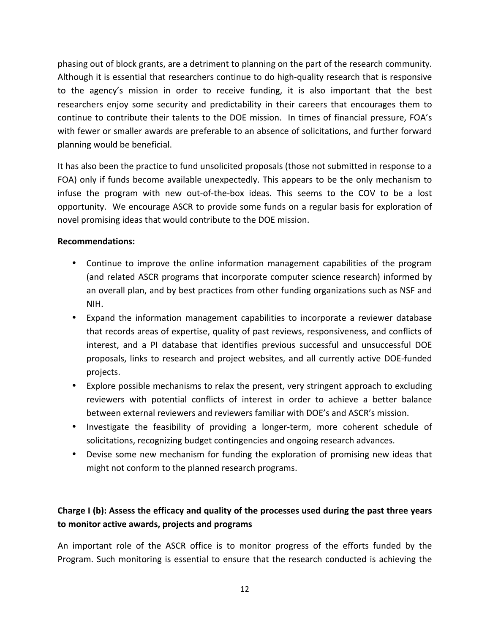phasing out of block grants, are a detriment to planning on the part of the research community. Although it is essential that researchers continue to do high-quality research that is responsive to the agency's mission in order to receive funding, it is also important that the best researchers enjoy some security and predictability in their careers that encourages them to continue to contribute their talents to the DOE mission. In times of financial pressure, FOA's with fewer or smaller awards are preferable to an absence of solicitations, and further forward planning would be beneficial.

It has also been the practice to fund unsolicited proposals (those not submitted in response to a FOA) only if funds become available unexpectedly. This appears to be the only mechanism to infuse the program with new out-of-the-box ideas. This seems to the COV to be a lost opportunity. We encourage ASCR to provide some funds on a regular basis for exploration of novel promising ideas that would contribute to the DOE mission.

#### **Recommendations:**

- Continue to improve the online information management capabilities of the program (and related ASCR programs that incorporate computer science research) informed by an overall plan, and by best practices from other funding organizations such as NSF and NIH.
- Expand the information management capabilities to incorporate a reviewer database that records areas of expertise, quality of past reviews, responsiveness, and conflicts of interest, and a PI database that identifies previous successful and unsuccessful DOE proposals, links to research and project websites, and all currently active DOE-funded projects.
- Explore possible mechanisms to relax the present, very stringent approach to excluding reviewers with potential conflicts of interest in order to achieve a better balance between external reviewers and reviewers familiar with DOE's and ASCR's mission.
- Investigate the feasibility of providing a longer-term, more coherent schedule of solicitations, recognizing budget contingencies and ongoing research advances.
- Devise some new mechanism for funding the exploration of promising new ideas that might not conform to the planned research programs.

## **Charge I** (b): Assess the efficacy and quality of the processes used during the past three years to monitor active awards, projects and programs

An important role of the ASCR office is to monitor progress of the efforts funded by the Program. Such monitoring is essential to ensure that the research conducted is achieving the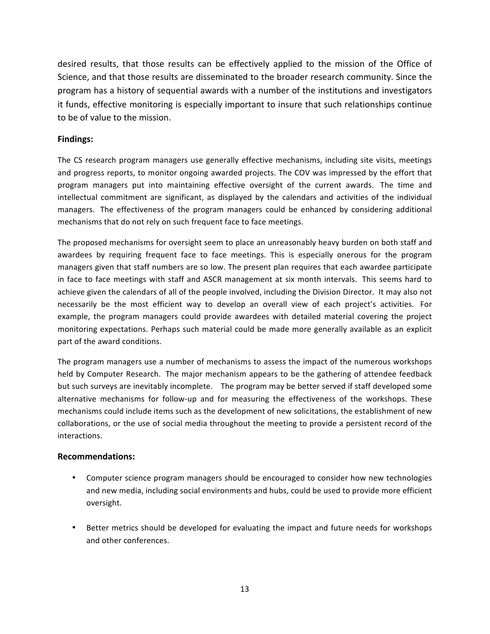desired results, that those results can be effectively applied to the mission of the Office of Science, and that those results are disseminated to the broader research community. Since the program has a history of sequential awards with a number of the institutions and investigators it funds, effective monitoring is especially important to insure that such relationships continue to be of value to the mission.

#### **Findings:**

The CS research program managers use generally effective mechanisms, including site visits, meetings and progress reports, to monitor ongoing awarded projects. The COV was impressed by the effort that program managers put into maintaining effective oversight of the current awards. The time and intellectual commitment are significant, as displayed by the calendars and activities of the individual managers. The effectiveness of the program managers could be enhanced by considering additional mechanisms that do not rely on such frequent face to face meetings.

The proposed mechanisms for oversight seem to place an unreasonably heavy burden on both staff and awardees by requiring frequent face to face meetings. This is especially onerous for the program managers given that staff numbers are so low. The present plan requires that each awardee participate in face to face meetings with staff and ASCR management at six month intervals. This seems hard to achieve given the calendars of all of the people involved, including the Division Director. It may also not necessarily be the most efficient way to develop an overall view of each project's activities. For example, the program managers could provide awardees with detailed material covering the project monitoring expectations. Perhaps such material could be made more generally available as an explicit part of the award conditions.

The program managers use a number of mechanisms to assess the impact of the numerous workshops held by Computer Research. The major mechanism appears to be the gathering of attendee feedback but such surveys are inevitably incomplete. The program may be better served if staff developed some alternative mechanisms for follow-up and for measuring the effectiveness of the workshops. These mechanisms could include items such as the development of new solicitations, the establishment of new collaborations, or the use of social media throughout the meeting to provide a persistent record of the interactions.

- Computer science program managers should be encouraged to consider how new technologies and new media, including social environments and hubs, could be used to provide more efficient oversight.
- Better metrics should be developed for evaluating the impact and future needs for workshops and other conferences.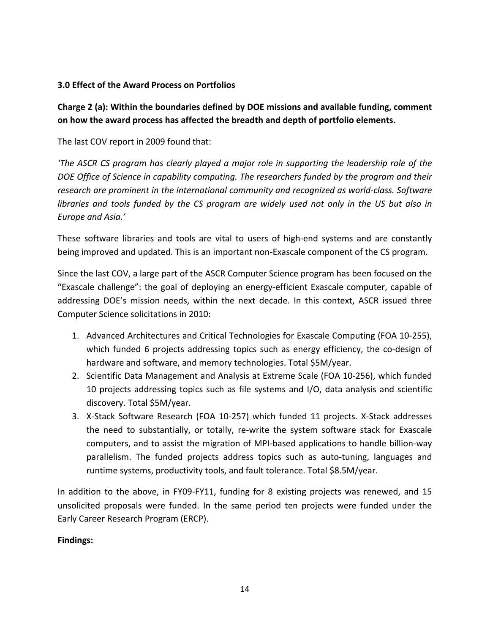#### **3.0 Effect of the Award Process on Portfolios**

### Charge 2 (a): Within the boundaries defined by DOE missions and available funding, comment on how the award process has affected the breadth and depth of portfolio elements.

The last COV report in 2009 found that:

*'The ASCR CS program has clearly played a major role in supporting the leadership role of the* DOE Office of Science in capability computing. The researchers funded by the program and their research are prominent in the international community and recognized as world-class. Software *libraries* and tools funded by the CS program are widely used not only in the US but also in *Europe and Asia.'*

These software libraries and tools are vital to users of high-end systems and are constantly being improved and updated. This is an important non-Exascale component of the CS program.

Since the last COV, a large part of the ASCR Computer Science program has been focused on the "Exascale challenge": the goal of deploying an energy-efficient Exascale computer, capable of addressing DOE's mission needs, within the next decade. In this context, ASCR issued three Computer Science solicitations in 2010:

- 1. Advanced Architectures and Critical Technologies for Exascale Computing (FOA 10-255), which funded 6 projects addressing topics such as energy efficiency, the co-design of hardware and software, and memory technologies. Total \$5M/year.
- 2. Scientific Data Management and Analysis at Extreme Scale (FOA 10-256), which funded 10 projects addressing topics such as file systems and  $I/O$ , data analysis and scientific discovery. Total \$5M/year.
- 3. X-Stack Software Research (FOA 10-257) which funded 11 projects. X-Stack addresses the need to substantially, or totally, re-write the system software stack for Exascale computers, and to assist the migration of MPI-based applications to handle billion-way parallelism. The funded projects address topics such as auto-tuning, languages and runtime systems, productivity tools, and fault tolerance. Total \$8.5M/year.

In addition to the above, in FY09-FY11, funding for 8 existing projects was renewed, and 15 unsolicited proposals were funded. In the same period ten projects were funded under the Early Career Research Program (ERCP).

#### **Findings:**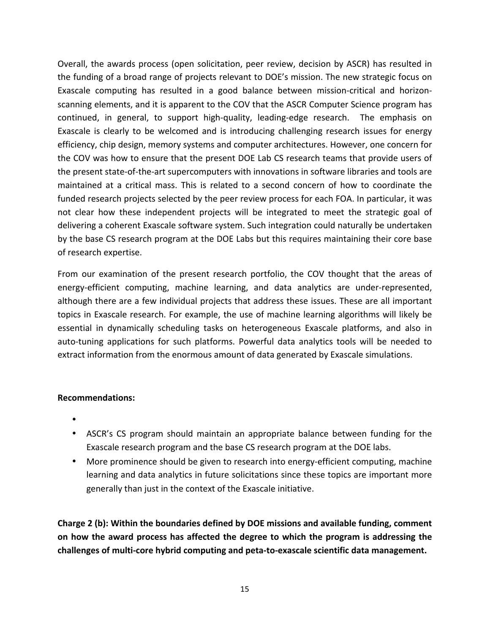Overall, the awards process (open solicitation, peer review, decision by ASCR) has resulted in the funding of a broad range of projects relevant to DOE's mission. The new strategic focus on Exascale computing has resulted in a good balance between mission-critical and horizonscanning elements, and it is apparent to the COV that the ASCR Computer Science program has continued, in general, to support high-quality, leading-edge research. The emphasis on Exascale is clearly to be welcomed and is introducing challenging research issues for energy efficiency, chip design, memory systems and computer architectures. However, one concern for the COV was how to ensure that the present DOE Lab CS research teams that provide users of the present state-of-the-art supercomputers with innovations in software libraries and tools are maintained at a critical mass. This is related to a second concern of how to coordinate the funded research projects selected by the peer review process for each FOA. In particular, it was not clear how these independent projects will be integrated to meet the strategic goal of delivering a coherent Exascale software system. Such integration could naturally be undertaken by the base CS research program at the DOE Labs but this requires maintaining their core base of research expertise.

From our examination of the present research portfolio, the COV thought that the areas of energy-efficient computing, machine learning, and data analytics are under-represented, although there are a few individual projects that address these issues. These are all important topics in Exascale research. For example, the use of machine learning algorithms will likely be essential in dynamically scheduling tasks on heterogeneous Exascale platforms, and also in auto-tuning applications for such platforms. Powerful data analytics tools will be needed to extract information from the enormous amount of data generated by Exascale simulations.

#### **Recommendations:**

- •
- ASCR's CS program should maintain an appropriate balance between funding for the Exascale research program and the base CS research program at the DOE labs.
- More prominence should be given to research into energy-efficient computing, machine learning and data analytics in future solicitations since these topics are important more generally than just in the context of the Exascale initiative.

Charge 2 (b): Within the boundaries defined by DOE missions and available funding, comment on how the award process has affected the degree to which the program is addressing the challenges of multi-core hybrid computing and peta-to-exascale scientific data management.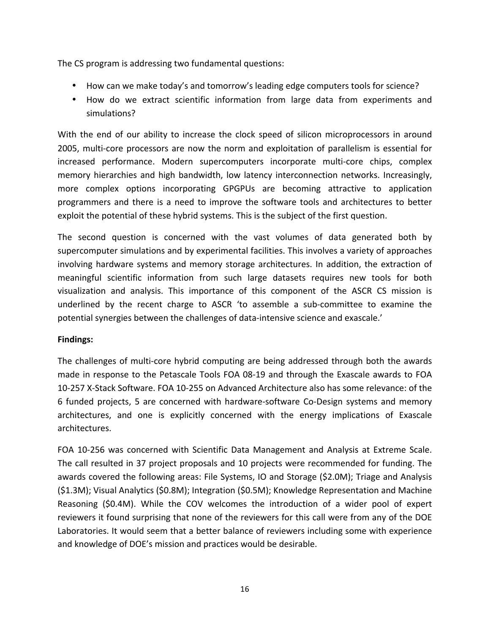The CS program is addressing two fundamental questions:

- How can we make today's and tomorrow's leading edge computers tools for science?
- How do we extract scientific information from large data from experiments and simulations?

With the end of our ability to increase the clock speed of silicon microprocessors in around 2005, multi-core processors are now the norm and exploitation of parallelism is essential for increased performance. Modern supercomputers incorporate multi-core chips, complex memory hierarchies and high bandwidth, low latency interconnection networks. Increasingly, more complex options incorporating GPGPUs are becoming attractive to application programmers and there is a need to improve the software tools and architectures to better exploit the potential of these hybrid systems. This is the subject of the first question.

The second question is concerned with the vast volumes of data generated both by supercomputer simulations and by experimental facilities. This involves a variety of approaches involving hardware systems and memory storage architectures. In addition, the extraction of meaningful scientific information from such large datasets requires new tools for both visualization and analysis. This importance of this component of the ASCR CS mission is underlined by the recent charge to ASCR 'to assemble a sub-committee to examine the potential synergies between the challenges of data-intensive science and exascale.'

#### **Findings:**

The challenges of multi-core hybrid computing are being addressed through both the awards made in response to the Petascale Tools FOA 08-19 and through the Exascale awards to FOA 10-257 X-Stack Software. FOA 10-255 on Advanced Architecture also has some relevance: of the 6 funded projects, 5 are concerned with hardware-software Co-Design systems and memory architectures, and one is explicitly concerned with the energy implications of Exascale architectures. 

FOA 10-256 was concerned with Scientific Data Management and Analysis at Extreme Scale. The call resulted in 37 project proposals and 10 projects were recommended for funding. The awards covered the following areas: File Systems, IO and Storage (\$2.0M); Triage and Analysis  $(S1.3M)$ ; Visual Analytics  $(S0.8M)$ ; Integration  $(S0.5M)$ ; Knowledge Representation and Machine Reasoning (\$0.4M). While the COV welcomes the introduction of a wider pool of expert reviewers it found surprising that none of the reviewers for this call were from any of the DOE Laboratories. It would seem that a better balance of reviewers including some with experience and knowledge of DOE's mission and practices would be desirable.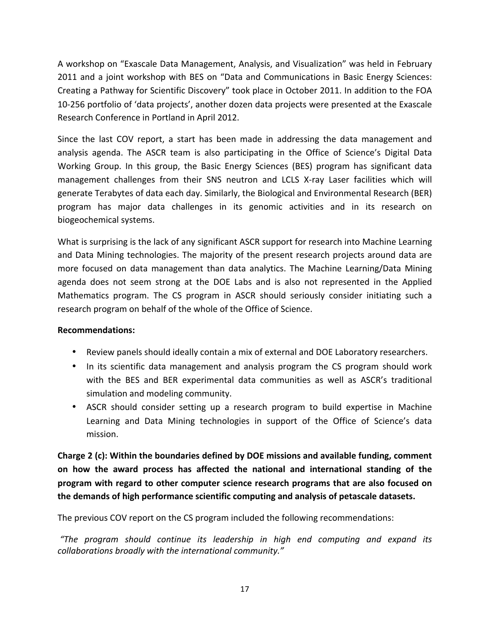A workshop on "Exascale Data Management, Analysis, and Visualization" was held in February 2011 and a joint workshop with BES on "Data and Communications in Basic Energy Sciences: Creating a Pathway for Scientific Discovery" took place in October 2011. In addition to the FOA 10-256 portfolio of 'data projects', another dozen data projects were presented at the Exascale Research Conference in Portland in April 2012.

Since the last COV report, a start has been made in addressing the data management and analysis agenda. The ASCR team is also participating in the Office of Science's Digital Data Working Group. In this group, the Basic Energy Sciences (BES) program has significant data management challenges from their SNS neutron and LCLS X-ray Laser facilities which will generate Terabytes of data each day. Similarly, the Biological and Environmental Research (BER) program has major data challenges in its genomic activities and in its research on biogeochemical systems.

What is surprising is the lack of any significant ASCR support for research into Machine Learning and Data Mining technologies. The majority of the present research projects around data are more focused on data management than data analytics. The Machine Learning/Data Mining agenda does not seem strong at the DOE Labs and is also not represented in the Applied Mathematics program. The CS program in ASCR should seriously consider initiating such a research program on behalf of the whole of the Office of Science.

#### **Recommendations:**

- Review panels should ideally contain a mix of external and DOE Laboratory researchers.
- In its scientific data management and analysis program the CS program should work with the BES and BER experimental data communities as well as ASCR's traditional simulation and modeling community.
- ASCR should consider setting up a research program to build expertise in Machine Learning and Data Mining technologies in support of the Office of Science's data mission.

Charge 2 (c): Within the boundaries defined by DOE missions and available funding, comment **on** how the award process has affected the national and international standing of the **program** with regard to other computer science research programs that are also focused on **the demands of high performance scientific computing and analysis of petascale datasets.** 

The previous COV report on the CS program included the following recommendations:

*"The program should continue its leadership in high end computing and expand its collaborations broadly with the international community."*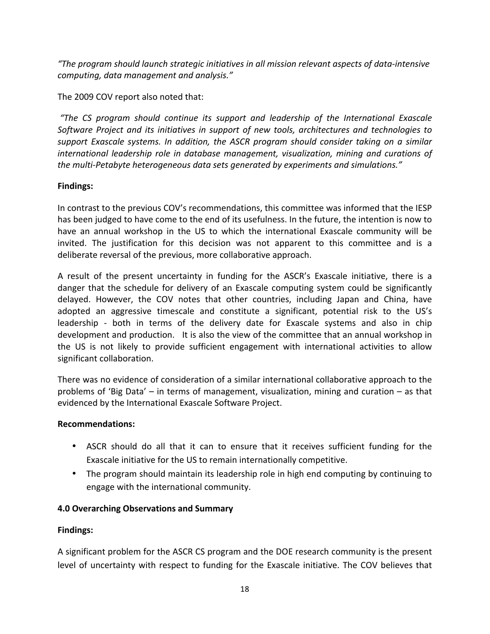*"The program should launch strategic initiatives in all mission relevant aspects of data-intensive computing, data management and analysis."*

The 2009 COV report also noted that:

*"The CS program should continue its support and leadership of the International Exascale Software Project and its initiatives in support of new tools, architectures and technologies to* support Exascale systems. In addition, the ASCR program should consider taking on a similar *international leadership role in database management, visualization, mining and curations of the multi-Petabyte heterogeneous data sets generated by experiments and simulations."* 

### **Findings:**

In contrast to the previous COV's recommendations, this committee was informed that the IESP has been judged to have come to the end of its usefulness. In the future, the intention is now to have an annual workshop in the US to which the international Exascale community will be invited. The justification for this decision was not apparent to this committee and is a deliberate reversal of the previous, more collaborative approach.

A result of the present uncertainty in funding for the ASCR's Exascale initiative, there is a danger that the schedule for delivery of an Exascale computing system could be significantly delayed. However, the COV notes that other countries, including Japan and China, have adopted an aggressive timescale and constitute a significant, potential risk to the US's leadership - both in terms of the delivery date for Exascale systems and also in chip development and production. It is also the view of the committee that an annual workshop in the US is not likely to provide sufficient engagement with international activities to allow significant collaboration.

There was no evidence of consideration of a similar international collaborative approach to the problems of 'Big Data' – in terms of management, visualization, mining and curation – as that evidenced by the International Exascale Software Project.

#### **Recommendations:**

- ASCR should do all that it can to ensure that it receives sufficient funding for the Exascale initiative for the US to remain internationally competitive.
- The program should maintain its leadership role in high end computing by continuing to engage with the international community.

### **4.0 Overarching Observations and Summary**

#### **Findings:**

A significant problem for the ASCR CS program and the DOE research community is the present level of uncertainty with respect to funding for the Exascale initiative. The COV believes that